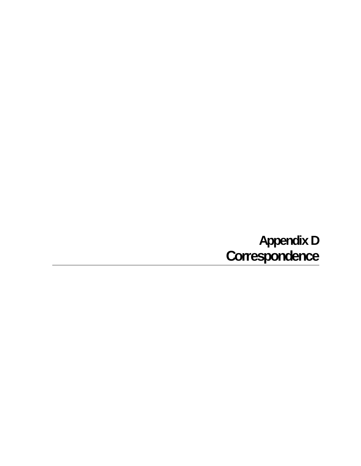# **Appendix D Correspondence**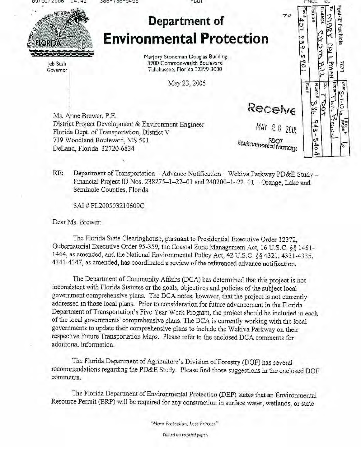סטטא זוה זכה OT. bst-it<sup>s</sup> Fax Note # xes Phone Co./Dep ファック Department of 401 **Environmental Protection**  $x \geq 9.$ **ELORIDA** いさ ロウーレフェクス  $5901$ Marjory Stoneman Douglas Building たん 3900 Commonwealth Boulevard leb Bush Tallahassee, Florida 32399-3000 Governor May 23, 2005 **Erom-**Co. Phone #  $\frac{1}{2}$ Lov. Receive

Ms. Anne Brewer, P.E. District Project Development & Environment Engineer Florida Dept. of Transportation, District V 719 Woodland Boulevard, MS 501 DeLand, Florida 32720-6834

MAY 26 200! FDOT<br>Environmental Manage

7671 pate a8g G Vermoe  $943 - 1$ ςŋ  $rac{4}{6}$ ᠷ

Department of Transportation -- Advance Notification -- Wekiva Parkway PD&E Study --RE: Financial Project ID Nos. 238275-1-22-01 and 240200-1-22-01 - Orange, Lake and Seminole Counties, Florida

SAI#FL200503210609C

Dear Ms. Brewer:

The Florida State Clearinghouse, pursuant to Presidential Executive Order 12372. Gubernatorial Executive Order 95-359, the Coastal Zone Management Act, 16 U.S.C. §§ 1451-1464, as amended, and the National Environmental Policy Act, 42 U.S.C. §§ 4321, 4331-4335, 4341-4347, as amended, has coordinated a review of the referenced advance notification.

The Department of Community Affairs (DCA) has determined that this project is not inconsistent with Florida Statutes or the goals, objectives and policies of the subject local government comprehensive plans. The DCA notes, however, that the project is not currently addressed in those local plans. Prior to consideration for future advancement in the Florida Department of Transportation's Five Year Work Program, the project should be included in each of the local governments' comprehensive plans. The DCA is currently working with the local governments to update their comprehensive plans to include the Wekiva Parkway on their respective Future Transportation Maps. Please refer to the enclosed DCA comments for additional information.

The Florida Department of Agriculture's Division of Forestry (DOF) has several recommendations regarding the PD&E Study. Please find those suggestions in the enclosed DOF comments.

The Florida Department of Environmental Protection (DEP) states that an Environmental Resource Permit (ERP) will be required for any construction in surface water, wetlands, or state

"More Protection, Less Process"

Printed on recycled paper.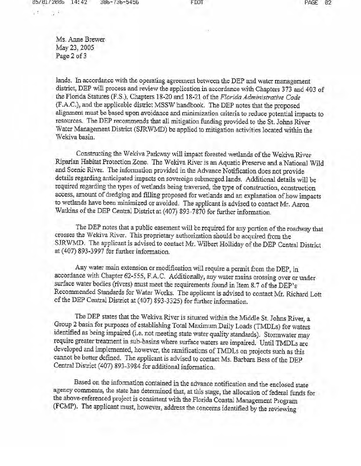Ms. Anne Brewer May 23, 2005 Page 2 of 3

lands. In accordance with the operating agreement between the DEP and water management district, DEP will process and review the application in accordance with Chapters 373 and 403 of the Florida Statutes (F.S.), Chapters 18-20 and 18-21 of the Florida Administrative Code (F.A.C.), and the applicable district MSSW handbook. The DEP notes that the proposed alignment must be based upon avoidance and minimization criteria to reduce potential impacts to resources. The DEP recommends that all mitigation funding provided to the St. Johns River Water Management District (SJRWMD) be applied to mitigation activities located within the Wekiva basin.

Constructing the Wekiva Parkway will impact forested wetlands of the Wekiva River Riparian Habitat Protection Zone. The Wekiva River is an Aquatic Preserve and a National Wild and Scenic River. The information provided in the Advance Notification does not provide details regarding anticipated impacts on sovereign submerged lands. Additional details will be required regarding the types of wetlands being traversed, the type of construction, construction access, amount of dredging and filling proposed for wetlands and an explanation of how impacts to wetlands have been minimized or avoided. The applicant is advised to contact Mr. Aaron Watkins of the DEP Central District at (407) 893-7870 for further information.

The DEP notes that a public easement will be required for any portion of the roadway that crosses the Wekiva River. This proprietary authorization should be acquired from the SJRWMD. The applicant is advised to contact Mr. Wilbert Holliday of the DEP Central District at (407) 893-3997 for further information.

Any water main extension or modification will require a permit from the DEP, in accordance with Chapter 62-555, F.A.C. Additionally, any water mains crossing over or under surface water bodies (rivers) must meet the requirements found in Item 8.7 of the DEP's Recommended Standards for Water Works. The applicant is advised to contact Mr. Richard Lott of the DEP Central District at (407) 893-3325) for further information.

The DEP states that the Wekiva River is situated within the Middle St. Johns River, a Group 2 basin for purposes of establishing Total Maximum Daily Loads (TMDLs) for waters identified as being impaired (i.e. not meeting state water quality standards). Stormwater may require greater treatment in sub-basins where surface waters are impaired. Until TMDLs are developed and implemented, however, the ramifications of TMDLs on projects such as this cannot be better defined. The applicant is advised to contact Ms. Barbara Bess of the DEP Central District (407) 893-3984 for additional information.

Based on the information contained in the advance notification and the enclosed state agency comments, the state has determined that, at this stage, the allocation of federal funds for the above-referenced project is consistent with the Florida Coastal Management Program (FCMP). The applicant must, however, address the concerns identified by the reviewing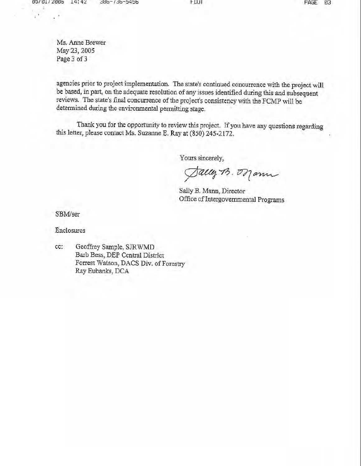Ms. Anne Brewer May 23, 2005 Page 3 of 3

agencies prior to project implementation. The state's continued concurrence with the project will be based, in part, on the adequate resolution of any issues identified during this and subsequent reviews. The state's final concurrence of the project's consistency with the FCMP will be determined during the environmental permitting stage.

**FDUI** 

Thank you for the opportunity to review this project. If you have any questions regarding this letter, please contact Ms. Suzanne E. Ray at (850) 245-2172.

Yours sincerely,

Sally B. Orann

Sally B. Mann, Director Office of Intergovernmental Programs

SBM/ser

Enclosures

Geoffrey Sample, SJRWMD cc: Barb Bess, DEP Central District Forrest Watson, DACS Div. of Forestry Ray Eubanks, DCA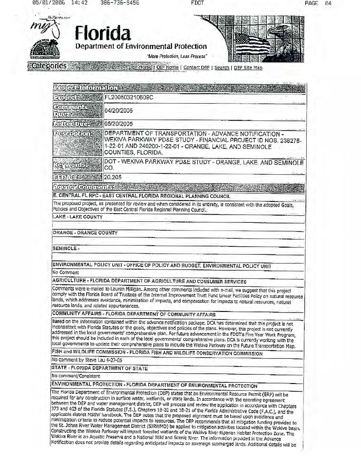FDOT



Categories 3 DEP Home | OIP Home | Contact DEP | Search | DEP Site Map

| <b>Mocanicaneum</b>                        |                                                                                                                                                                                                                                                                                                                                                                                                                                                                                                                                                                                                                                       |
|--------------------------------------------|---------------------------------------------------------------------------------------------------------------------------------------------------------------------------------------------------------------------------------------------------------------------------------------------------------------------------------------------------------------------------------------------------------------------------------------------------------------------------------------------------------------------------------------------------------------------------------------------------------------------------------------|
|                                            | FL200503210609C                                                                                                                                                                                                                                                                                                                                                                                                                                                                                                                                                                                                                       |
| educuentes<br>217653                       | 04/20/2005                                                                                                                                                                                                                                                                                                                                                                                                                                                                                                                                                                                                                            |
| ofo-Dio-                                   | 05/20/2005                                                                                                                                                                                                                                                                                                                                                                                                                                                                                                                                                                                                                            |
| <b>POSCOTILISTIC</b>                       | DEPARTMENT OF TRANSPORTATION - ADVANCE NOTIFICATION -<br>WEKIVA PARKWAY PD&E STUDY - FINANCIAL PROJECT ID NOS. 238275-<br>1-22-01 AND 240200-1-22-01 - ORANGE, LAKE, AND SEMINOLE<br>COUNTIES, FLORIDA.                                                                                                                                                                                                                                                                                                                                                                                                                               |
| Gwole                                      | DOT - WEKIVA PARKWAY PD&E STUDY - ORANGE, LAKE, AND SEMINOLE<br>CO.                                                                                                                                                                                                                                                                                                                                                                                                                                                                                                                                                                   |
| 최쿠키 포                                      | 20.205                                                                                                                                                                                                                                                                                                                                                                                                                                                                                                                                                                                                                                |
| ACCHE COULTENS:                            |                                                                                                                                                                                                                                                                                                                                                                                                                                                                                                                                                                                                                                       |
|                                            | E. CENTRAL FL RPC - EAST CENTRAL FLORIDA REGIONAL PLANNING COUNCIL                                                                                                                                                                                                                                                                                                                                                                                                                                                                                                                                                                    |
|                                            | The proposed project, as presented for review and when considered in its entirety, is consistent with the adopted Goals,<br>Policies and Objectives of the East Central Florida Regional Planning Council.                                                                                                                                                                                                                                                                                                                                                                                                                            |
| LAKE - LAKE COUNTY                         |                                                                                                                                                                                                                                                                                                                                                                                                                                                                                                                                                                                                                                       |
| SEMINOLE-<br>No Comment                    | ENVIRONMENTAL POLICY UNIT - OFFICE OF POLICY AND BUDGET, ENVIRONMENTAL POLICY UNIT                                                                                                                                                                                                                                                                                                                                                                                                                                                                                                                                                    |
|                                            | AGRICULTURE - FLORIDA DEPARTMENT OF AGRICULTURE AND CONSUMER SERVICES                                                                                                                                                                                                                                                                                                                                                                                                                                                                                                                                                                 |
| resource lands, and related appurtenances. | Comments were e-mailed to Lauren Millgan. Among other comments included with e-mail, we suggest that this project<br>comply with the Florida Board of Trustees of the Internal Improvement Trust Fund Linear Facilities Policy on natural resource<br>lands, which addresses avoidance, minimization of impacts, and compensation for impacts to natural resources, natural                                                                                                                                                                                                                                                           |
|                                            | COMMUNITY AFFAIRS - FLORIDA DEPARTMENT OF COMMUNITY AFFAIRS                                                                                                                                                                                                                                                                                                                                                                                                                                                                                                                                                                           |
|                                            | Based on the information contained within the advance notification package, DCA has determined that this project is not<br>inconsistent with Fiorida Statutes or the goals, objectives and policies of the plans. However, this project is not currently<br>addressed in the local governments' comprehensive plan. For future advancement in the FDOT's Five Year Work Program,<br>this project should be included in each of the local governments' comprehensive plans. DCA is currently working with the<br>local governments to update their comprehensive plans to include the Wekiva Parkway on the Future Transportation Map. |
|                                            | FISH and WILDLIFE COMMISSION - FLORIDA FISH AND WILDLIFE CONSERVATION COMMISSION                                                                                                                                                                                                                                                                                                                                                                                                                                                                                                                                                      |
| No comment by Steve Lau 4-27-05            |                                                                                                                                                                                                                                                                                                                                                                                                                                                                                                                                                                                                                                       |
|                                            | STATE - FLORIDA DEPARTMENT OF STATE                                                                                                                                                                                                                                                                                                                                                                                                                                                                                                                                                                                                   |
| No comment/Consistent                      |                                                                                                                                                                                                                                                                                                                                                                                                                                                                                                                                                                                                                                       |
|                                            | ENVIRONMENTAL PROTECTION - FLORIDA DEPARTMENT OF ENVIRONMENTAL PROTECTION                                                                                                                                                                                                                                                                                                                                                                                                                                                                                                                                                             |
|                                            | The Florida Department of Environmental Protection (DEP) states that an Environmental Ressurce Permit (ERP) will be<br>required for any construction in surface water, wetlands, or state lands. In accordance with the operating agreement<br>between the DEP and water management district, DEP will process and review the application in accordance with Chapters<br>373 and 403 of the Elorida Statutes (E.S.). Chanters 18-20 and 18-21 of the Finalda.                                                                                                                                                                         |

373 and 403 of the Florida Statutes (F.S.), Chapters 18-20 and 18-21 of the Fiorida Administrative Code (F.A.C.), and the applicable district MSSW handbook. The DEP notes that the proposed alignment must be based upon avoi Constructing the Wekiva Parkway will impact forested wetlands of the Wekiva River Riparian Habitat Protection Zone. The Wekiva River is an Aquatic Preserve and a National Wild and Scenlc River. The information provided in the Advance Notification does not provide details regarding anticipated impacts on sovereign submerged lands. Additional details will be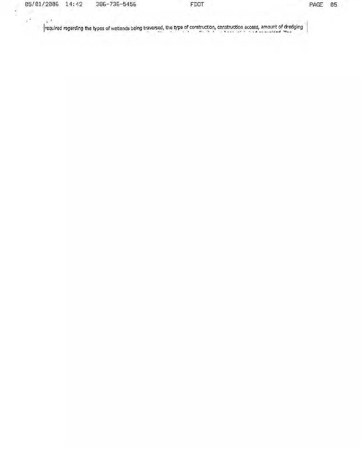$\frac{1}{2}$ 

 $\chi^+$ 

 $\mathbb{R}^{\mathcal{F}}$ 

 $\left|$  required regarding the types of wetlands being traversed, the type of construction, construction access, amount of dredging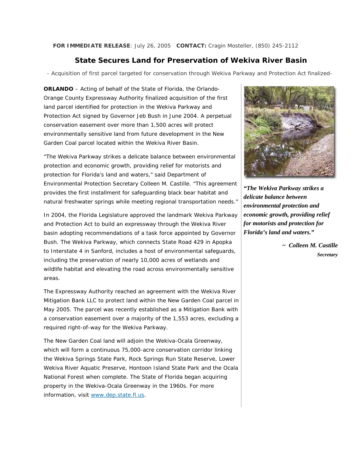**FOR IMMEDIATE RELEASE**: July 26, 2005 **CONTACT:** Cragin Mosteller, (850) 245-2112

### **State Secures Land for Preservation of Wekiva River Basin**

*- Acquisition of first parcel targeted for conservation through Wekiva Parkway and Protection Act finalized-*

**ORLANDO** – Acting of behalf of the State of Florida, the Orlando-Orange County Expressway Authority finalized acquisition of the first land parcel identified for protection in the Wekiva Parkway and Protection Act signed by Governor Jeb Bush in June 2004. A perpetual conservation easement over more than 1,500 acres will protect environmentally sensitive land from future development in the New Garden Coal parcel located within the Wekiva River Basin.

"The Wekiva Parkway strikes a delicate balance between environmental protection and economic growth, providing relief for motorists and protection for Florida's land and waters," said Department of Environmental Protection Secretary Colleen M. Castille. "This agreement provides the first installment for safeguarding black bear habitat and natural freshwater springs while meeting regional transportation needs."

In 2004, the Florida Legislature approved the landmark Wekiva Parkway and Protection Act to build an expressway through the Wekiva River basin adopting recommendations of a task force appointed by Governor Bush. The Wekiva Parkway, which connects State Road 429 in Apopka to Interstate 4 in Sanford, includes a host of environmental safeguards, including the preservation of nearly 10,000 acres of wetlands and wildlife habitat and elevating the road across environmentally sensitive areas.

The Expressway Authority reached an agreement with the Wekiva River Mitigation Bank LLC to protect land within the New Garden Coal parcel in May 2005. The parcel was recently established as a Mitigation Bank with a conservation easement over a majority of the 1,553 acres, excluding a required right-of-way for the Wekiva Parkway.

The New Garden Coal land will adjoin the Wekiva-Ocala Greenway, which will form a continuous 75,000-acre conservation corridor linking the Wekiva Springs State Park, Rock Springs Run State Reserve, Lower Wekiva River Aquatic Preserve, Hontoon Island State Park and the Ocala National Forest when complete. The State of Florida began acquiring property in the Wekiva-Ocala Greenway in the 1960s. For more information, visit [www.dep.state.fl.us.](http://www.dep.state.fl.us/)



*"The Wekiva Parkway strikes a delicate balance between environmental protection and economic growth, providing relief for motorists and protection for Florida's land and waters."* 

*~ Colleen M. Castille Secretary*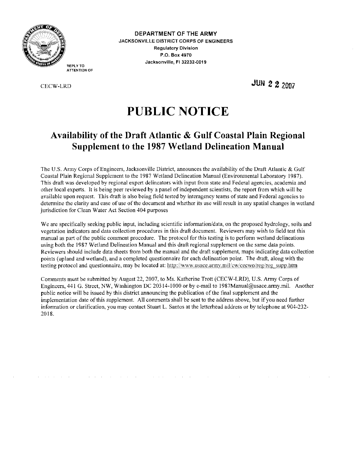

DEPARTMENT OF THE ARMY **JACKSONVILLE DISTRICT CORPS OF ENGINEERS Regulatory Division** P.O. Box 4970 Jacksonville, FI 32232-0019

**JUN 2 2 2007** 

# **PUBLIC NOTICE**

## Availability of the Draft Atlantic & Gulf Coastal Plain Regional **Supplement to the 1987 Wetland Delineation Manual**

The U.S. Army Corps of Engineers, Jacksonville District, announces the availability of the Draft Atlantic & Gulf Coastal Plain Regional Supplement to the 1987 Wetland Delineation Manual (Environmental Laboratory 1987). This draft was developed by regional expert delineators with input from state and Federal agencies, academia and other local experts. It is being peer reviewed by a panel of independent scientists, the report from which will be available upon request. This draft is also being field tested by interagency teams of state and Federal agencies to determine the clarity and ease of use of the document and whether its use will result in any spatial changes in wetland jurisdiction for Clean Water Act Section 404 purposes

We are specifically seeking public input, including scientific information/data, on the proposed hydrology, soils and vegetation indicators and data collection procedures in this draft document. Reviewers may wish to field test this manual as part of the public comment procedure. The protocol for this testing is to perform wetland delineations using both the 1987 Wetland Delineation Manual and this draft regional supplement on the same data points. Reviewers should include data sheets from both the manual and the draft supplement, maps indicating data collection points (upland and wetland), and a completed questionnaire for each delineation point. The draft, along with the testing protocol and questionnaire, may be located at: http://www.usace.army.mil/cw/cecwo/reg/reg\_supp.htm

Comments must be submitted by August 22, 2007, to Ms. Katherine Trott (CECW-LRD), U.S. Army Corps of Engineers, 441 G. Street, NW, Washington DC 20314-1000 or by e-mail to 1987Manual@usace.army.mil. Another public notice will be issued by this district announcing the publication of the final supplement and the implementation date of this supplement. All comments shall be sent to the address above, but if you need further information or clarification, you may contact Stuart L. Santos at the letterhead address or by telephone at 904-232-2018.

 $\sim 10^7$ 

 $\sim 10^7$ 

. The simulation of the simulation of the simulation of the simulation of  $\mathcal{O}(\mathcal{A})$ 

REPLY TO **ATTENTION OF** 

**CECW-LRD**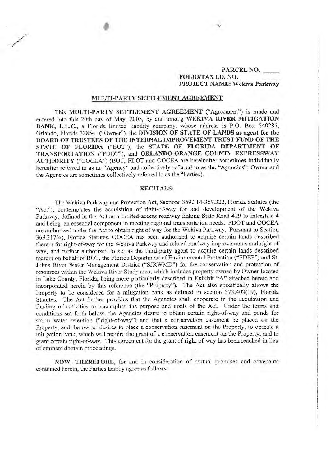### PARCEL NO. FOLIO/TAX I.D. NO. PROJECT NAME: Wekiva Parkway

#### MULTI-PARTY SETTLEMENT AGREEMENT

This MULTI-PARTY SETTLEMENT AGREEMENT ("Agreement") is made and entered into this 20th day of May, 2005, by and among WEKIVA RIVER MITIGATION BANK, L.L.C., a Florida limited liability company, whose address is P.O. Box 540285, Orlando, Florida 32854 ("Owner"), the DIVISION OF STATE OF LANDS as agent for the BOARD OF TRUSTEES OF THE INTERNAL IMPROVEMENT TRUST FUND OF THE STATE OF FLORIDA ("BOT"), the STATE OF FLORIDA DEPARTMENT OF TRANSPORTATION ("FDOT"), and ORLANDO-ORANGE COUNTY EXPRESSWAY AUTHORITY ("OOCEA") (BOT, FDOT and OOCEA are hereinafter sometimes individually hereafter referred to as an "Agency" and collectively referred to as the "Agencies"; Owner and the Agencies are sometimes collectively referred to as the "Parties).

### **RECITALS:**

The Wekiva Parkway and Protection Act, Sections 369.314-369.322, Florida Statutes (the "Act"), contemplates the acquisition of right-of-way for and development of the Wekiva Parkway, defined in the Act as a limited-access roadway linking State Road 429 to Interstate 4 and being an essential component in meeting regional transportation needs. FDOT and OOCEA are authorized under the Act to obtain right of way for the Wekiva Parkway. Pursuant to Section 369.317(6), Florida Statutes, OOCEA has been authorized to acquire certain lands described therein for right-of-way for the Wekiva Parkway and related roadway improvements and right of way, and further authorized to act as the third-party agent to acquire certain lands described therein on behalf of BOT, the Florida Department of Environmental Protection ("FDEP") and St. Johns River Water Management District ("SJRWMD") for the conservation and protection of resources within the Wekiva River Study area, which includes property owned by Owner located in Lake County, Florida, being more particularly described in Exhibit "A" attached hereto and incorporated herein by this reference (the "Property"). The Act also specifically allows the Property to be considered for a mitigation bank as defined in section 373,403(19), Florida Statutes. The Act further provides that the Agencies shall cooperate in the acquisition and funding of activities to accomplish the purpose and goals of the Act. Under the terms and conditions set forth below, the Agencies desire to obtain certain right-of-way and ponds for storm water retention ("right-of-way") and that a conservation easement be placed on the Property, and the owner desires to place a conservation easement on the Property, to operate a mitigation bank, which will require the grant of a conservation easement on the Property, and to grant certain right-of-way. This agreement for the grant of right-of-way has been reached in lieu of eminent domain proceedings.

NOW, THEREFORE, for and in consideration of mutual promises and covenants contained herein, the Parties hereby agree as follows: